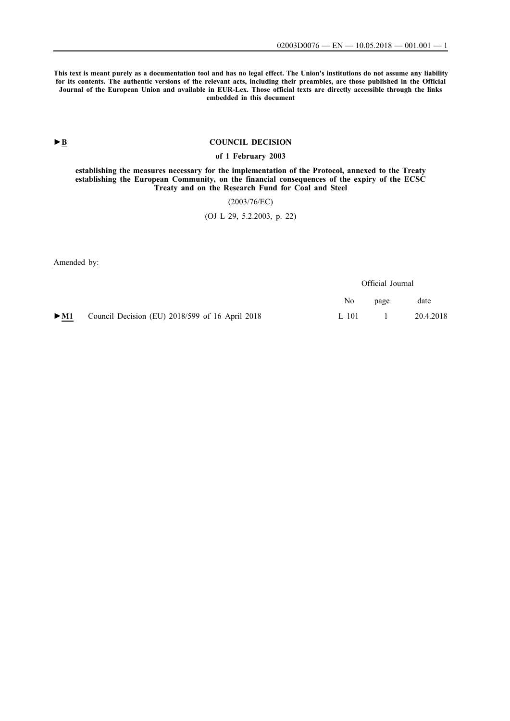**This text is meant purely as a documentation tool and has no legal effect. The Union's institutions do not assume any liability for its contents. The authentic versions of the relevant acts, including their preambles, are those published in the Official Journal of the European Union and available in EUR-Lex. Those official texts are directly accessible through the links embedded in this document**

# **►B [COUNCIL DECISION](http://data.europa.eu/eli/dec/2003/76(1)/oj/eng)**

### **[of 1 February 2003](http://data.europa.eu/eli/dec/2003/76(1)/oj/eng)**

**[establishing the measures necessary for the implementation of the Protocol, annexed to the Treaty](http://data.europa.eu/eli/dec/2003/76(1)/oj/eng) [establishing the European Community, on the financial consequences of the expiry of the ECSC](http://data.europa.eu/eli/dec/2003/76(1)/oj/eng) [Treaty and on the Research Fund for Coal and Steel](http://data.europa.eu/eli/dec/2003/76(1)/oj/eng)**

[\(2003/76/EC\)](http://data.europa.eu/eli/dec/2003/76(1)/oj/eng)

[\(OJ L 29, 5.2.2003, p. 22\)](http://data.europa.eu/eli/dec/2003/76(1)/oj/eng)

Amended by:

|        |                                                 | Official Journal |      |           |
|--------|-------------------------------------------------|------------------|------|-----------|
|        |                                                 | No.              | page | date      |
| $>$ M1 | Council Decision (EU) 2018/599 of 16 April 2018 | $L_{101}$        |      | 20.4.2018 |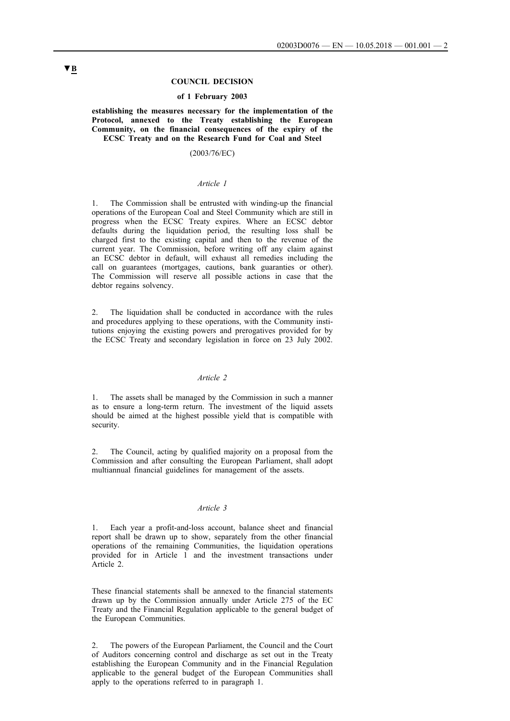### **COUNCIL DECISION**

#### **of 1 February 2003**

**establishing the measures necessary for the implementation of the Protocol, annexed to the Treaty establishing the European Community, on the financial consequences of the expiry of the ECSC Treaty and on the Research Fund for Coal and Steel**

#### (2003/76/EC)

## *Article 1*

1. The Commission shall be entrusted with winding-up the financial operations of the European Coal and Steel Community which are still in progress when the ECSC Treaty expires. Where an ECSC debtor defaults during the liquidation period, the resulting loss shall be charged first to the existing capital and then to the revenue of the current year. The Commission, before writing off any claim against an ECSC debtor in default, will exhaust all remedies including the call on guarantees (mortgages, cautions, bank guaranties or other). The Commission will reserve all possible actions in case that the debtor regains solvency.

2. The liquidation shall be conducted in accordance with the rules and procedures applying to these operations, with the Community institutions enjoying the existing powers and prerogatives provided for by the ECSC Treaty and secondary legislation in force on 23 July 2002.

#### *Article 2*

1. The assets shall be managed by the Commission in such a manner as to ensure a long-term return. The investment of the liquid assets should be aimed at the highest possible yield that is compatible with security.

2. The Council, acting by qualified majority on a proposal from the Commission and after consulting the European Parliament, shall adopt multiannual financial guidelines for management of the assets.

### *Article 3*

1. Each year a profit-and-loss account, balance sheet and financial report shall be drawn up to show, separately from the other financial operations of the remaining Communities, the liquidation operations provided for in Article 1 and the investment transactions under Article 2.

These financial statements shall be annexed to the financial statements drawn up by the Commission annually under Article 275 of the EC Treaty and the Financial Regulation applicable to the general budget of the European Communities.

2. The powers of the European Parliament, the Council and the Court of Auditors concerning control and discharge as set out in the Treaty establishing the European Community and in the Financial Regulation applicable to the general budget of the European Communities shall apply to the operations referred to in paragraph 1.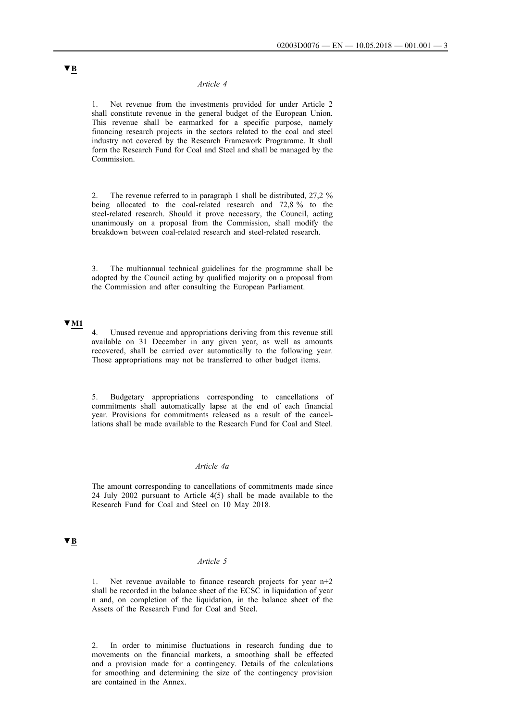#### *Article 4*

1. Net revenue from the investments provided for under Article 2 shall constitute revenue in the general budget of the European Union. This revenue shall be earmarked for a specific purpose, namely financing research projects in the sectors related to the coal and steel industry not covered by the Research Framework Programme. It shall form the Research Fund for Coal and Steel and shall be managed by the Commission.

2. The revenue referred to in paragraph 1 shall be distributed, 27,2 % being allocated to the coal-related research and 72.8 % to the steel-related research. Should it prove necessary, the Council, acting unanimously on a proposal from the Commission, shall modify the breakdown between coal-related research and steel-related research.

The multiannual technical guidelines for the programme shall be adopted by the Council acting by qualified majority on a proposal from the Commission and after consulting the European Parliament.

## **▼M1**

4. Unused revenue and appropriations deriving from this revenue still available on 31 December in any given year, as well as amounts recovered, shall be carried over automatically to the following year. Those appropriations may not be transferred to other budget items.

5. Budgetary appropriations corresponding to cancellations of commitments shall automatically lapse at the end of each financial year. Provisions for commitments released as a result of the cancellations shall be made available to the Research Fund for Coal and Steel.

### *Article 4a*

The amount corresponding to cancellations of commitments made since 24 July 2002 pursuant to Article 4(5) shall be made available to the Research Fund for Coal and Steel on 10 May 2018.

# **▼B**

## *Article 5*

1. Net revenue available to finance research projects for year n+2 shall be recorded in the balance sheet of the ECSC in liquidation of year n and, on completion of the liquidation, in the balance sheet of the Assets of the Research Fund for Coal and Steel.

2. In order to minimise fluctuations in research funding due to movements on the financial markets, a smoothing shall be effected and a provision made for a contingency. Details of the calculations for smoothing and determining the size of the contingency provision are contained in the Annex.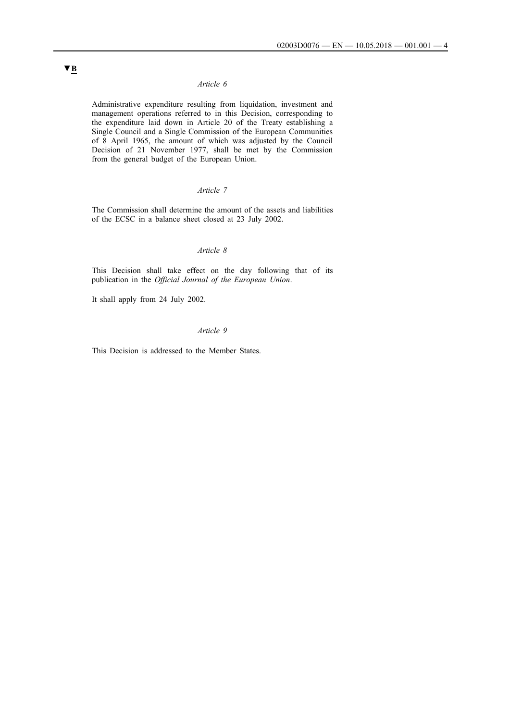## *Article 6*

Administrative expenditure resulting from liquidation, investment and management operations referred to in this Decision, corresponding to the expenditure laid down in Article 20 of the Treaty establishing a Single Council and a Single Commission of the European Communities of 8 April 1965, the amount of which was adjusted by the Council Decision of 21 November 1977, shall be met by the Commission from the general budget of the European Union.

### *Article 7*

The Commission shall determine the amount of the assets and liabilities of the ECSC in a balance sheet closed at 23 July 2002.

## *Article 8*

This Decision shall take effect on the day following that of its publication in the *Official Journal of the European Union*.

It shall apply from 24 July 2002.

## *Article 9*

This Decision is addressed to the Member States.